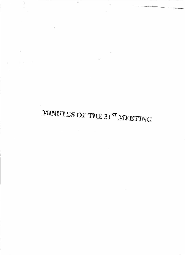# MINUTES OF THE 31ST MEETING

 $\mathcal{L}^{\text{max}}_{\text{max}}$ 

 $\sim$   $\sim$ 

 $\label{eq:2.1} \mathcal{L}(\mathcal{A}) = \mathcal{L}(\mathcal{A}) = \mathcal{L}(\mathcal{A}) = \mathcal{L}(\mathcal{A}) = \mathcal{L}(\mathcal{A}) = \mathcal{L}(\mathcal{A})$ 

 $\label{eq:2.1} \mathcal{L}(\mathcal{L}^{\text{max}}_{\mathcal{L}}(\mathcal{L}^{\text{max}}_{\mathcal{L}}),\mathcal{L}^{\text{max}}_{\mathcal{L}^{\text{max}}_{\mathcal{L}}})$ 

 $\sim$ 

ang p

 $\label{eq:2.1} \frac{1}{\sqrt{2}}\left(\frac{1}{\sqrt{2}}\right)^{2} \left(\frac{1}{\sqrt{2}}\right)^{2} \left(\frac{1}{\sqrt{2}}\right)^{2} \left(\frac{1}{\sqrt{2}}\right)^{2} \left(\frac{1}{\sqrt{2}}\right)^{2} \left(\frac{1}{\sqrt{2}}\right)^{2} \left(\frac{1}{\sqrt{2}}\right)^{2} \left(\frac{1}{\sqrt{2}}\right)^{2} \left(\frac{1}{\sqrt{2}}\right)^{2} \left(\frac{1}{\sqrt{2}}\right)^{2} \left(\frac{1}{\sqrt{2}}\right)^{2} \left(\$ 

 $\overline{\phantom{a}}$ 

 $\Delta \phi$ 

 $\mathcal{L}(\mathcal{A})$  and  $\mathcal{L}(\mathcal{A})$ 

 $\mathcal{L}^{\text{max}}_{\text{max}}$  and  $\mathcal{L}^{\text{max}}_{\text{max}}$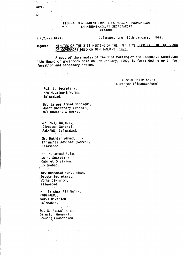#### FEDERAL GOVERNMENT EMPLOYEES HOUSING FOUNDATION  $\sim$   $\sim$  SHAHEED-E-MILLAT SECRETARIAT \*~¥~",;:e;

وأرواجهما

#### $3.4(2)/92$ -HF(A)

 $\mathcal{O}$  )

#### Is lamabad the 30th January, 1992.

#### Ibject:- MINUTES OF THE 31ST MEETING OF THE EXECUTIVE COMMITTEE OF THE BOARD OF GOVERNORS HELD ON 9TH JANUARY, 1992.

A copy of the minutes of the 31st meeting of the Executive Committee the Board of governors held on 9th January, 1992, is forwarded herewith for iformation and necessary action.

> (Hamid Hakim Khan) Director (Finance/Admn)

P.S. to Secretary, M/o Housing & Works, Islamabad.

Mr. Jalees Ahmad Siddiqui, Joint Secretary (Works), *MIa* Housing & Works, '

Mr. M.I. Rajput, 01r@ctor General, Pak-PWD, Islamabad.

Mr., Mukhtar Ahmad, Financial Adviser' (Works), Islamabad.

Mr. Muhammad Aslam, Joint Secretary, Cabinet Division, lslamabad.

Mr. Mohammad Yunus Khan, Deputy Secretary, Horks Division, Islamabad.

Mr. Sarshar Ali Malik, OSO(P&EC) , Works Division, Islamabad.

,

,

Dr. M. Rasooi Khan, Director General, Housing Foundation.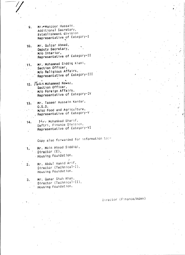- Mr. Manzoor Hussain, 9. Additional Secretary, Establishment division Representative of Category-I
- Mr. Gulzar Ahmad,  $10.$ Deputy Sacretary, M/o Interior, Representative of Category-II
- Mr. Mohammad Siddig Kiani,  $11.$ Section Officer, M/o Religious Affairs, Representative of Category-III
- 12. Maul Mohammad Nawaz, Section Officer, M/o Foreign Affairs, Representative of Category-IV
- Mr. Taseer Hussain Kardar,  $13.$  $0.S.D.$ M/so Food and Agriculture, , Representative of Category-V
- Hv. Mohammad Sharif, 14. Daftri, Finance Division, Representative of Category-VI

Copy also forwarded for information to:-

Mr. Moin Ahmad Siddigi,  $\sim$  Director (E), Housing Foundation.

1,

- Mr. Abdul Hamid Arif,  $\cdot$  2. Director (Technical-I), Housing Foundation.
- Mr. Qamar Shah Khan,  $3.$ Director (Technical-II), Housing Foundation.

Director (Finance/Admn)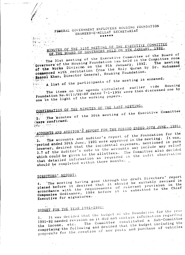#### FEBERAL GOVERNMENT EMPLOYEES HOUSING FOUNDATION SHAHEED-E-MILLAT SECRETARIAT  $\mathbf{q}$ \*\*\*\*\*\*

#### MINUTES OF THE 31ST MEETING OF THE EXECUTIVE COMMITTEE  $\mathbf{g}^{\text{max}}$ OF THE BOARD OF GOVERNORS HELD ON 9TH JANUARY, 1992.

The 31st meeting of the Executive Committee of the Board of governors of the Housing Foundation was held in the Committee room. of the Works Division on the 9th January, 1992. The meeting commenced with recitation from the Holy Quran by Dr. Mohammad.

Basool Khan, Director General, Housing Foundation.

 $\frac{1}{2}$   $\frac{1}{2}$  a list of the participants of the meeting is annexed. Housing  $vide$ 

The items on the agenda circulated earlier. Foundation No.4(1)/92-HF dated 7-1-1992 were then discussed one by one in the light of the working papers.

## CONFIRMATION OF THE MINUTES OF THE LAST MEETING:

The minutes of the 30th meeting of the Executive Committee Were confirmed.

**ATE ATE AND A** 

 $\Omega_{\rm M}$  ,  $\Omega_{\rm M}$ 

ACCOUNTS AND AUDITOR'S REPORT FOR THE PERIOD ENDED 30TH JUNE, 1991;

3. The accounts and Auditor's report of the Foundation for the "pariod ended 30th June, 1991 were approved in the meeting. It was, however, desired that the incidental expenses, mentioned in para 3.7 of the Auditor's note to the accounts may include any relief which could be given to the allottees. The Committee also decided that detailed information as required in the audit observation should be completed within three months...

## DIRECTORS' REPORT:

The meeting having gone through the draft Directors' report placed before it desired that it should be suitably revised in accordance with the requirements of relevant provision in the Companies Ordinance, 1984 before it is submitted to the Chief Executive for signatures.

## BUDGET FOR THE YEAR 1991-1992:

It was decided that the budget of the Foundation for the year 1991-92 needed revision as it did not contain information regarding The Committee constituted a Sub-Committee comprising the following and desired that the budget including the proponels for the creation of new posts and purchase of vehicles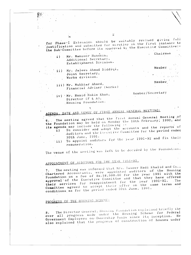for Phase-I Extension should be suitably revised giving full justification and submitted for scrutiny in the first instance to the Sub-Committee before its approval by the Executive Committee:-

Chairman

 $M$ ember

Member

Member/Secretary

2

- $\sim$   $\sim$ i) Mr. Manzoor Hussain, Additional Secretary, Establishment Division.
- ii) Mr. Jalees Ahmad Siddigi, Joint Secretary, Works division.
	- iii) Mr. Mukhtar Ahmed, Financial Adviser (horks)
	-
	- iv) 'Mr. Hamid Hakim Khan, Director  $(F \& A)$ , Housing Foundation.

## AGENDA, DATE AND VENUE OF FIRST ANNUAL GENERAL MEETING:

The meeting agreed that the first Annual General Meeting of the Foundation may be held on Monday the 10th February, 1992, and its agenda may include the following :-

- To consider and adopt the accounts and the reports of Auditors and the Executive Committee for the period ended  $\mathbf{i}$ )
	- To appoint auditors for the year 1991-92 and fix their 30th June, 1991.  $\pm i$ ) remuneration.

The venue of the meeting was left to be decided by the Foundation.

## APPOINTMENT OF AUDITORS FOR THE YEAR 1991-92.

The meeting was informed that M/s. Taseer Hadi Khalid and Co., Chartered Accountants, were appointed auditors of the Housing Foundation on a fee of Rs.18,500.00 for the year 1991 with the approval of the Executive Committee and that they have offered their services for reappointment for the year 1991-92. The Committee agreed to accept their offer on the same terms and conditions as for the period ended 30th June, 1991.

## PROGRESS OF THE HOUSING SCHEME:

The Director General, Housing Foundation explained briefly the over all progress made under the Housing Scheme for Federal  $8.$ Government Employees on Ownership Basis since its inception. He also explained that the progress of construction of houses under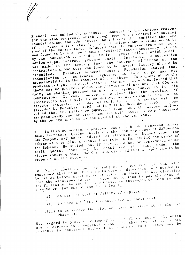Phase-I was behind the schedule. Enumerating the various reasons for the slow progress, which though beyond the control of Housing Foundation and the contractors, he informed the Committee that one of the reasons is certainly the inefficiency and mismanagement by some of the contractors. He added that the contractors whose work was found to be slow were being regularly issued necessary notices by the Foundation to speed up their progress failing which penal action as per contract agreement shall be initiated. A suggestion was made in the meeting that the contract of those of the contractors whose work was found to be un-satisfactory should be Director General Housing Foundation stated that cancellation of contracts rightaway at this stage may  $not$ necessarily be in the interest of the scheme. To a query about the provision of gas and electricity in the area, it was explained that there was no progress about the provision of gas and that CDA was being constantly pursued to move the agency concerned in this It was, however, made clear that the provision of electricity was likely to be delayed as according to the latest targets intimated by CDA, electricity in 1-8 sector will be provided by December, 1992 and in G-11 by December, 1993. It was opined that the matter be pursued through once the accommodations' are made ready the concerned agencies will naturally be pressurised by the owners also to do the needful at the earliest.

3

In this connection a proposal was made by Mr. Mohammad Aslam, Joint Secretary, Cabinet Division, that the employees of WAPDA and Gas Company may be considered for allotment of houses under the scheme as they play a substantial role in furthering the cause of the Scheme. He stated that if they could not be considered under quota, they may be considered discretionary quota. The Chairman directed that a paper should be prepared on the subject.

progress it was also While dwelling on the subject of mentioned that some of the plots were in depression and needed to be filled before starting construction on them. It was clarified that the allottees concerned were not willing to pay the cost of the filling or basement. The Committee thereupon decided to ask them to opt for one of the following :-

- i) to pay the cost of filling of depression;
- 
- to have a basement constructed at their cost;  $\mathbf{u}$
- iii) to surrender the plot and take an alternative plot in  $Phase-II.$

With regard to plots of category IV, V & VI in sector G-11 which are in depression a suggestion was made that even if it is not possible to construct basement at economic cost, store may be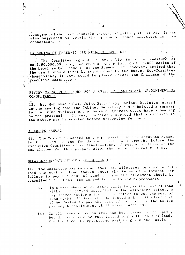constructed wherever possible instead of getting it filled. It was also suggested to obtain the option of those allottees in this connection.

## LAUNCHING OF PHASE-II (PRINTING OF BROCHURE):

The Committee agreed in principle to an expenditure of Rs. 2, 50, 000.00 being incurred on the printing of 15,000 copies of the brochure for Phase-II of the Scheme. It, however, desired that the draft should first be scrutinised by the Budget Sub-Committee whose views, if any, would be placed before the Chairman of the Executive Committee.

### REVIEW OF SCOPE OF WORK FOR PHASE-T EXTENSION AND APPOINTMENT OF CONSULTANTS:

Mr. Mohammad Aslam, Joint Secretary, Cabinet Division, stated in the meeting that the Cabinet Secretary had submitted a summary to the Prime Minister and a decision thereon would have a bearing on the proposals. It was, therefore, decided that a decision in the matter may be awaited before proceeding further.

#### ACCOUNTS MANUAL:

The Committee agreed to the proposal that the Accounts Manual  $4.3<sub>1</sub>$ be finalised by the Foundation itself and brought before the<br>Executive Committee after finalisation. A period of three months was allowed for this purpose after the Annual General Meeting.

### DELAYED/NON-PAYMENT OF COST OF LAND:

The Committee was informed that some allottees have not so far  $14.$ paid the cost of land though under the terms of allotment for failure to pay the cost of land in time the allotment should be The Committee agreed to the following proposals: cancelled.

In a case where an allottee fails to pay the cost of land  $\mathbf{i}$ ) within the period specified in the allotment letter, a registered notice asking the allottee to pay the cost of land within 30 days will be issued making it clear that if he failed to pay the cost of land within the notice period, his allotment shall stand canceled.

In all cases where notices had been issued in the past,  $i \in \mathcal{L}$ but the persons concerned failed to pay the cost of land, final notices by registered post be given once again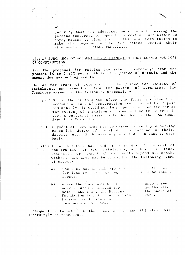ensuring that the addresses were correct, asking the persons concerned to deposit the cost of land within 30 days, making it clear that if the defaulters failed to make the payment within the notice period their allotments shall stand cancelled.

#### LEVY OF SURCHARGE ON ACCOUNT OF NON-PAYMENT OF INSTALMENTS FOR COST OF CONSTRUCTION:

The proposal for raising the rate of surcharge from the  $15.$ present 1% to 1.25% per month for the period of default and the amount due was not agreed to.

As for grant of extension in the period for payment of  $16.$ instalments and exemption from the payment of surcharge, the Committee agreed to the following proposals:-

- i) Since the instalments after the first instalment on account of cost of construction are required to be paid six monthly, it would not be proper to extend the period for payment of instalments beyond six months except in very exceptional cases to be decided by the Chairman, Executive Committee.
- ii) Payment of surcharge may be waived in really deserving cases like demise of the allottee, occurrence of theft, dacoity, etc. Such cases may be decided on case to case basis.
- iii) If an allottee has paid at least 45% of the cost of construction or two instalments, whichever is less, extension for payment of instalments beyond six months without surcharge may be allowed in the following types. of  $cases:$ 
	- till the loan where he has already applied.  $a)$ is sanctioned. for loan to a loan giving agency.
	- where the commencement of  $b)$ work is unduly delayed for some reasons and the Housing work. Foundation is not in a position to issue certificate of commencement of work.

Subsequent, instalments in the cases at (a) and (b) above will accordingly be rescheduled.

upto three. months after the award of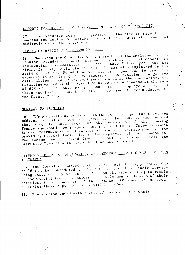## EFFORTS FOR SECURING LOAN FROM THE MINISTRY OF FINANCE ETC.

The Executive Committee appreciated the efforts made by the Housing Foundation for securing loans to tide over the financial difficulties of the allottees.

## HIRING OF RESIDENTIAL ACCOMMODATION:

The Executive Committee was informed that the employees of the Housing Foundation were neither entitled to allotment  $18<sup>2</sup>$  $\Omega$ residential accommodation from the Estate Office pool nor was hiring facility available to them. It was also explained in the meeting that the Foundation was not in a position to bear the expenditure on hiring of accommodation. Recognising the genuine difficulties faced by the employees as well as the Foundation, the Committee agreed to the payment of house rent allowance at the rate of 60% of their basic pay per month to the employees excluding those who have already been allotted Government accommodation by the Estate Office.

#### MEDICAL FACILITIES:

 $\triangleright$  19. The proposals as contained in the working paper for providing medical facilities were not agreed to. Instead, it was decided that complete data regarding the employees of the Housing Foundation should be prepared and provided to Mr. Taseer Hussain Kardar, representative of category-V, who will prepare a scheme for providing medical facilities to the employees of the Foundation. The scheme when received from him would be placed before the Executive Committee for consideration and approval.

## REFUND OF MONEY TO APPLICANTS WHOSE LENGTH OF SERVICE WAS LESS THAN 20 YEARS:

The Committee agreed that all the eligible applicants who could not be considered in Phase-I on account of their service being short of 20 years on 1.9.1988 and who were willing to remain. on the waiting list be considered for allotment of houses of their entitlement in Phase-II of the scheme, if they so desired, otherwise their deposited money will be refunded.

The meeting ended with a vote of thanks to the Chair.  $21.$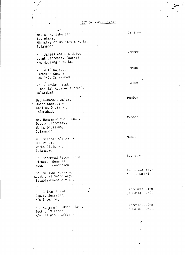#### LIST OF PARTICIPANTS

¥. Mr. G. A. Jahangir, Secretary, Ministry of Housing & Works, Islamabad.

Mr. Jalees Ahmad Siddiqui, Joint Secretary (Works), M/o Housing & Works,

Mr. M.I. Rajput, Director General, Pak-PWD, Islamabad.

Mr. Mukhtar Ahmad, Financial Adviser (Works), Islamabad.

Mr. Muhammad Aslam, Joint Secretary, Cabinet Division, Islamabad.

Mr. Mohammad Yunus Khan, Deputy Secretary, Works Division, Islamabad.

Mr. Sarshar Ali Malik. OSD(P&EC), Works Division, Islamabad.

Dr. Mohammad Rasool Khan, Director General, Housing Foundation.

Mr. Manzoor Hussain, Additional Secretary, Establishment division

Mr. Gulzar Ahmad, Deputy Secretary, M/o Interior,

Mr. Mohammad Siddig Kiani, Section Officer, M/o Religious Affairs,

Cahirman

Member

**Member** 

Member

Member

Member

Member

Secretary

Representative of Category-I

Representative of Category-II

Representative of Category-III

ANN E